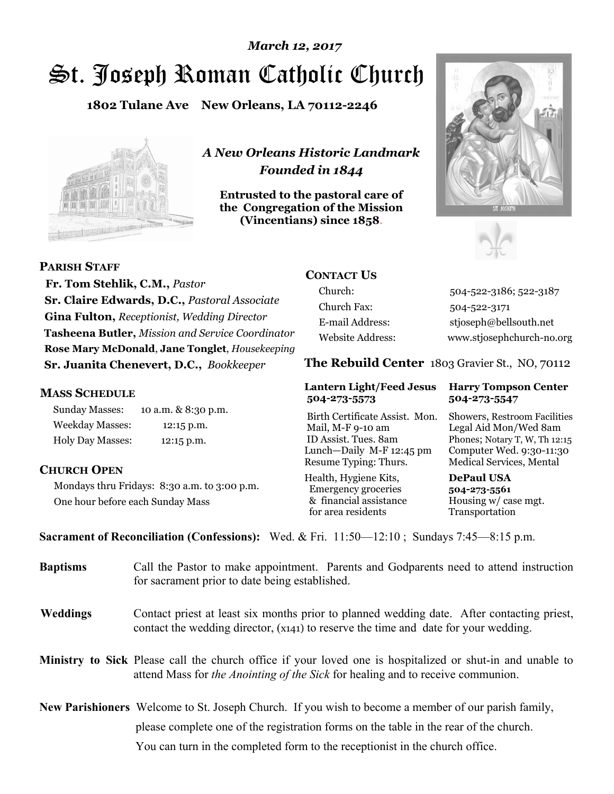# St. Joseph Roman Catholic Church *March 12, 2017*

**1802 Tulane Ave New Orleans, LA 70112-2246**



*A New Orleans Historic Landmark Founded in 1844* 

**Entrusted to the pastoral care of the Congregation of the Mission (Vincentians) since 1858**.





**PARISH STAFF**

 **Fr. Tom Stehlik, C.M.,** *Pastor* **Sr. Claire Edwards, D.C.,** *Pastoral Associate* **Gina Fulton,** *Receptionist, Wedding Director* **Tasheena Butler,** *Mission and Service Coordinator* **Rose Mary McDonald**, **Jane Tonglet**, *Housekeeping* **Sr. Juanita Chenevert, D.C.,** *Bookkeeper* 

### **MASS SCHEDULE**

Sunday Masses: 10 a.m. & 8:30 p.m. Weekday Masses: 12:15 p.m. Holy Day Masses: 12:15 p.m.

## **CHURCH OPEN**

Mondays thru Fridays: 8:30 a.m. to 3:00 p.m. One hour before each Sunday Mass

# **CONTACT US**

Church: 504-522-3186; 522-3187 Church Fax: 504-522-3171 E-mail Address: stjoseph@bellsouth.net Website Address: www.stjosephchurch-no.org

**The Rebuild Center** 1803 Gravier St., NO, 70112

### **Lantern Light/Feed Jesus Harry Tompson Center 504-273-5573 504-273-5547**

Birth Certificate Assist. Mon. Showers, Restroom Facilities Mail, M-F 9-10 am Legal Aid Mon/Wed 8am ID Assist. Tues. 8am Phones; Notary T, W, Th 12:15 Lunch—Daily M-F 12:45 pm Computer Wed. 9:30-11:30 Resume Typing: Thurs. Medical Services, Mental

Health, Hygiene Kits, **DePaul USA**  Emergency groceries **504-273-5561** & financial assistance Housing w/ case mgt.<br>for area residents Transportation for area residents

**Sacrament of Reconciliation (Confessions):** Wed. & Fri. 11:50—12:10 ; Sundays 7:45—8:15 p.m.

| <b>Baptisms</b> | Call the Pastor to make appointment. Parents and Godparents need to attend instruction<br>for sacrament prior to date being established.                                                            |  |
|-----------------|-----------------------------------------------------------------------------------------------------------------------------------------------------------------------------------------------------|--|
| <b>Weddings</b> | Contact priest at least six months prior to planned wedding date. After contacting priest,<br>contact the wedding director, (x141) to reserve the time and date for your wedding.                   |  |
|                 | <b>Ministry to Sick</b> Please call the church office if your loved one is hospitalized or shut-in and unable to<br>attend Mass for the Anointing of the Sick for healing and to receive communion. |  |
|                 | <b>New Parishioners</b> Welcome to St. Joseph Church. If you wish to become a member of our parish family,                                                                                          |  |
|                 | please complete one of the registration forms on the table in the rear of the church.                                                                                                               |  |
|                 | You can turn in the completed form to the reception is the church office.                                                                                                                           |  |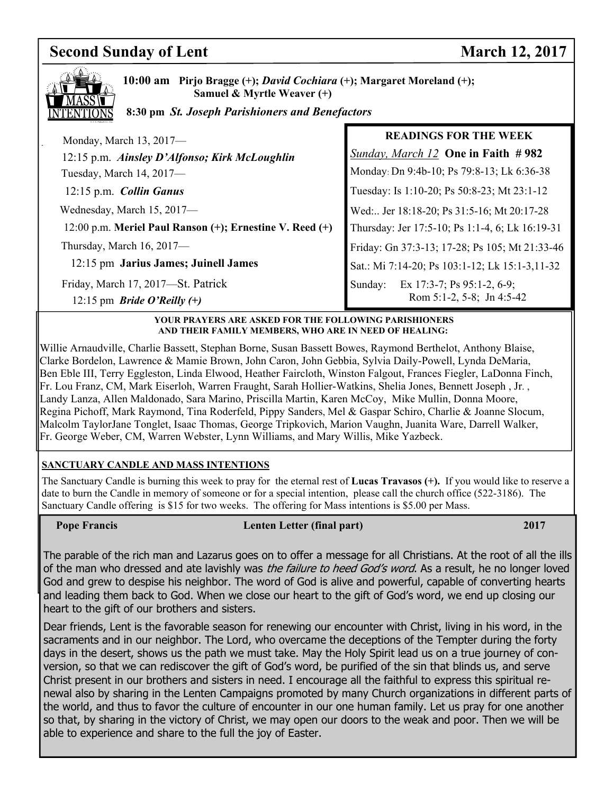### **Second Sunday of Lent** March 12, 2017



**10:00 am Pirjo Bragge (+);** *David Cochiara* **(+); Margaret Moreland (+); Samuel & Myrtle Weaver (+)**

 **8:30 pm** *St. Joseph Parishioners and Benefactors*

| Monday, March 13, 2017-                                  | <b>READINGS FOR THE WEEK</b>                    |
|----------------------------------------------------------|-------------------------------------------------|
| 12:15 p.m. Ainsley D'Alfonso; Kirk McLoughlin            | Sunday, March 12 One in Faith # 982             |
| Tuesday, March 14, 2017-                                 | Monday: Dn 9:4b-10; Ps 79:8-13; Lk 6:36-38      |
| 12:15 p.m. Collin Ganus                                  | Tuesday: Is 1:10-20; Ps 50:8-23; Mt 23:1-12     |
| Wednesday, March 15, 2017-                               | Wed: Jer 18:18-20; Ps 31:5-16; Mt 20:17-28      |
| 12:00 p.m. Meriel Paul Ranson (+); Ernestine V. Reed (+) | Thursday: Jer 17:5-10; Ps 1:1-4, 6; Lk 16:19-31 |
| Thursday, March 16, 2017-                                | Friday: Gn 37:3-13; 17-28; Ps 105; Mt 21:33-46  |
| 12:15 pm Jarius James; Juinell James                     | Sat.: Mi 7:14-20; Ps 103:1-12; Lk 15:1-3,11-32  |
| Friday, March 17, 2017-St. Patrick                       | Ex 17:3-7; Ps 95:1-2, 6-9;<br>Sunday:           |
| 12:15 pm <i>Bride O'Reilly</i> $(+)$                     | Rom 5:1-2, 5-8; Jn 4:5-42                       |

### **YOUR PRAYERS ARE ASKED FOR THE FOLLOWING PARISHIONERS AND THEIR FAMILY MEMBERS, WHO ARE IN NEED OF HEALING:**

Willie Arnaudville, Charlie Bassett, Stephan Borne, Susan Bassett Bowes, Raymond Berthelot, Anthony Blaise, Clarke Bordelon, Lawrence & Mamie Brown, John Caron, John Gebbia, Sylvia Daily-Powell, Lynda DeMaria, Ben Eble III, Terry Eggleston, Linda Elwood, Heather Faircloth, Winston Falgout, Frances Fiegler, LaDonna Finch, Fr. Lou Franz, CM, Mark Eiserloh, Warren Fraught, Sarah Hollier-Watkins, Shelia Jones, Bennett Joseph , Jr. , Landy Lanza, Allen Maldonado, Sara Marino, Priscilla Martin, Karen McCoy, Mike Mullin, Donna Moore, Regina Pichoff, Mark Raymond, Tina Roderfeld, Pippy Sanders, Mel & Gaspar Schiro, Charlie & Joanne Slocum, Malcolm TaylorJane Tonglet, Isaac Thomas, George Tripkovich, Marion Vaughn, Juanita Ware, Darrell Walker, Fr. George Weber, CM, Warren Webster, Lynn Williams, and Mary Willis, Mike Yazbeck.

## **SANCTUARY CANDLE AND MASS INTENTIONS**

The Sanctuary Candle is burning this week to pray for the eternal rest of **Lucas Travasos (+).** If you would like to reserve a date to burn the Candle in memory of someone or for a special intention, please call the church office (522-3186). The Sanctuary Candle offering is \$15 for two weeks. The offering for Mass intentions is \$5.00 per Mass.

### **Pope Francis** 2017 **Lenten Letter (final part)** 2017

The parable of the rich man and Lazarus goes on to offer a message for all Christians. At the root of all the ills of the man who dressed and ate lavishly was *the failure to heed God's word*. As a result, he no longer loved God and grew to despise his neighbor. The word of God is alive and powerful, capable of converting hearts and leading them back to God. When we close our heart to the gift of God's word, we end up closing our heart to the gift of our brothers and sisters.

Dear friends, Lent is the favorable season for renewing our encounter with Christ, living in his word, in the sacraments and in our neighbor. The Lord, who overcame the deceptions of the Tempter during the forty days in the desert, shows us the path we must take. May the Holy Spirit lead us on a true journey of conversion, so that we can rediscover the gift of God's word, be purified of the sin that blinds us, and serve Christ present in our brothers and sisters in need. I encourage all the faithful to express this spiritual renewal also by sharing in the Lenten Campaigns promoted by many Church organizations in different parts of the world, and thus to favor the culture of encounter in our one human family. Let us pray for one another so that, by sharing in the victory of Christ, we may open our doors to the weak and poor. Then we will be able to experience and share to the full the joy of Easter.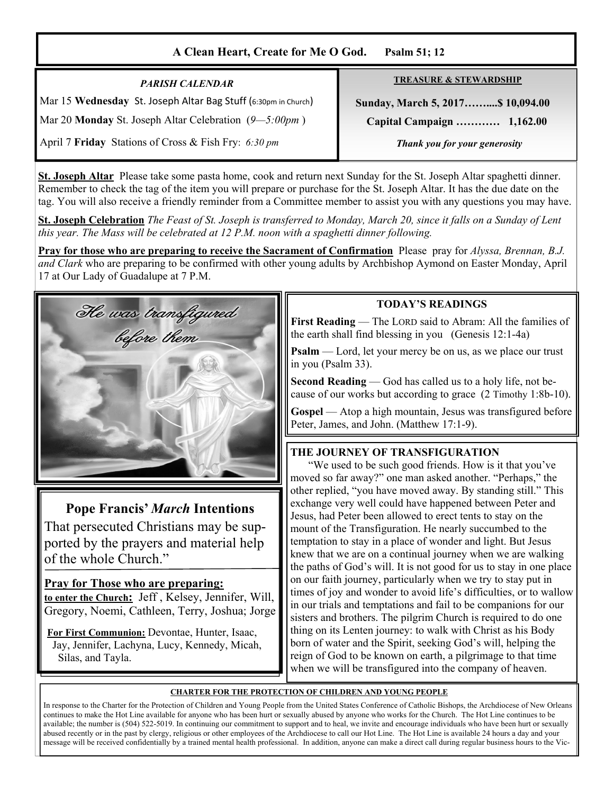# **A Clean Heart, Create for Me O God. Psalm 51; 12**

| <b>PARISH CALENDAR</b>                                         | <b>TREASURE &amp; STEWARDSHIP</b> |
|----------------------------------------------------------------|-----------------------------------|
| Mar 15 Wednesday St. Joseph Altar Bag Stuff (6:30pm in Church) | Sunday, March 5, 2017 \$10,094.00 |
| Mar 20 <b>Monday</b> St. Joseph Altar Celebration $(9-5:00pm)$ | Capital Campaign  1,162.00        |
| April 7 Friday Stations of Cross & Fish Fry: 6:30 pm           | Thank you for your generosity     |

**St. Joseph Altar** Please take some pasta home, cook and return next Sunday for the St. Joseph Altar spaghetti dinner. Remember to check the tag of the item you will prepare or purchase for the St. Joseph Altar. It has the due date on the tag. You will also receive a friendly reminder from a Committee member to assist you with any questions you may have.

**St. Joseph Celebration** *The Feast of St. Joseph is transferred to Monday, March 20, since it falls on a Sunday of Lent this year. The Mass will be celebrated at 12 P.M. noon with a spaghetti dinner following.* 

**Pray for those who are preparing to receive the Sacrament of Confirmation** Please pray for *Alyssa, Brennan, B.J. and Clark* who are preparing to be confirmed with other young adults by Archbishop Aymond on Easter Monday, April 17 at Our Lady of Guadalupe at 7 P.M.



# **Pope Francis'** *March* **Intentions**

That persecuted Christians may be supported by the prayers and material help of the whole Church."

## **Pray for Those who are preparing:**

**to enter the Church:** Jeff , Kelsey, Jennifer, Will, Gregory, Noemi, Cathleen, Terry, Joshua; Jorge

**For First Communion:** Devontae, Hunter, Isaac, Jay, Jennifer, Lachyna, Lucy, Kennedy, Micah, Silas, and Tayla.

### **TODAY'S READINGS**

**First Reading** — The LORD said to Abram: All the families of the earth shall find blessing in you (Genesis 12:1-4a)

**Psalm** — Lord, let your mercy be on us, as we place our trust in you (Psalm 33).

**Second Reading** — God has called us to a holy life, not because of our works but according to grace (2 Timothy 1:8b-10).

**Gospel** — Atop a high mountain, Jesus was transfigured before Peter, James, and John. (Matthew 17:1-9).

## **THE JOURNEY OF TRANSFIGURATION**

 "We used to be such good friends. How is it that you've moved so far away?" one man asked another. "Perhaps," the other replied, "you have moved away. By standing still." This exchange very well could have happened between Peter and Jesus, had Peter been allowed to erect tents to stay on the mount of the Transfiguration. He nearly succumbed to the temptation to stay in a place of wonder and light. But Jesus knew that we are on a continual journey when we are walking the paths of God's will. It is not good for us to stay in one place on our faith journey, particularly when we try to stay put in times of joy and wonder to avoid life's difficulties, or to wallow in our trials and temptations and fail to be companions for our sisters and brothers. The pilgrim Church is required to do one thing on its Lenten journey: to walk with Christ as his Body born of water and the Spirit, seeking God's will, helping the reign of God to be known on earth, a pilgrimage to that time when we will be transfigured into the company of heaven.

### **CHARTER FOR THE PROTECTION OF CHILDREN AND YOUNG PEOPLE**

In response to the Charter for the Protection of Children and Young People from the United States Conference of Catholic Bishops, the Archdiocese of New Orleans continues to make the Hot Line available for anyone who has been hurt or sexually abused by anyone who works for the Church. The Hot Line continues to be available; the number is (504) 522-5019. In continuing our commitment to support and to heal, we invite and encourage individuals who have been hurt or sexually abused recently or in the past by clergy, religious or other employees of the Archdiocese to call our Hot Line. The Hot Line is available 24 hours a day and your message will be received confidentially by a trained mental health professional. In addition, anyone can make a direct call during regular business hours to the Vic-